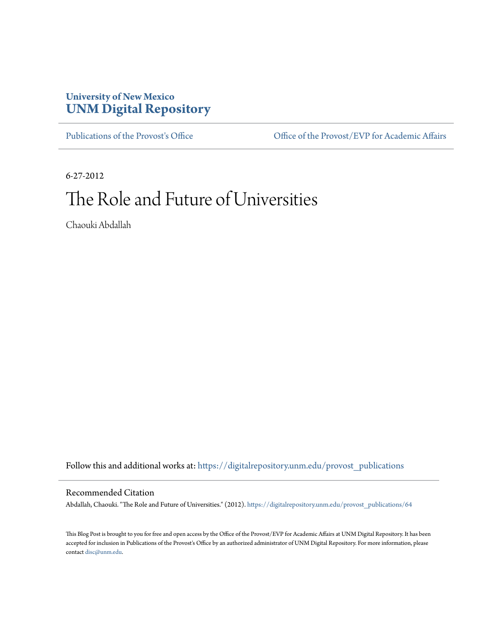## **University of New Mexico [UNM Digital Repository](https://digitalrepository.unm.edu?utm_source=digitalrepository.unm.edu%2Fprovost_publications%2F64&utm_medium=PDF&utm_campaign=PDFCoverPages)**

[Publications of the Provost's Office](https://digitalrepository.unm.edu/provost_publications?utm_source=digitalrepository.unm.edu%2Fprovost_publications%2F64&utm_medium=PDF&utm_campaign=PDFCoverPages) Office [Office of the Provost/EVP for Academic Affairs](https://digitalrepository.unm.edu/ofc_provost?utm_source=digitalrepository.unm.edu%2Fprovost_publications%2F64&utm_medium=PDF&utm_campaign=PDFCoverPages)

6-27-2012 The Role and Future of Universities

Chaouki Abdallah

Follow this and additional works at: [https://digitalrepository.unm.edu/provost\\_publications](https://digitalrepository.unm.edu/provost_publications?utm_source=digitalrepository.unm.edu%2Fprovost_publications%2F64&utm_medium=PDF&utm_campaign=PDFCoverPages)

## Recommended Citation

Abdallah, Chaouki. "The Role and Future of Universities." (2012). [https://digitalrepository.unm.edu/provost\\_publications/64](https://digitalrepository.unm.edu/provost_publications/64?utm_source=digitalrepository.unm.edu%2Fprovost_publications%2F64&utm_medium=PDF&utm_campaign=PDFCoverPages)

This Blog Post is brought to you for free and open access by the Office of the Provost/EVP for Academic Affairs at UNM Digital Repository. It has been accepted for inclusion in Publications of the Provost's Office by an authorized administrator of UNM Digital Repository. For more information, please contact [disc@unm.edu.](mailto:disc@unm.edu)